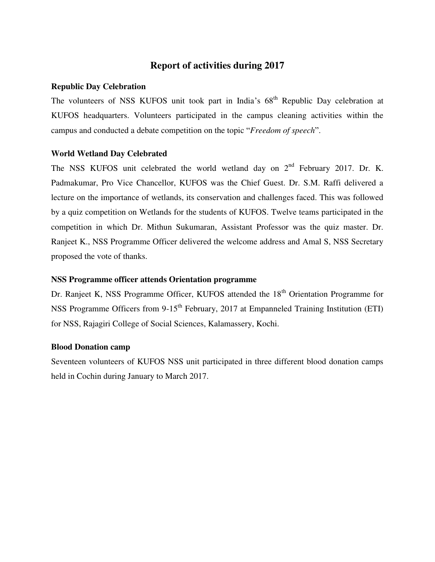# **Report of activities during 2017**

#### **Republic Day Celebration**

The volunteers of NSS KUFOS unit took part in India's  $68<sup>th</sup>$  Republic Day celebration at KUFOS headquarters. Volunteers participated in the campus cleaning activities within the campus and conducted a debate competition on the topic "*Freedom of speech*".

### **World Wetland Day Celebrated**

The NSS KUFOS unit celebrated the world wetland day on  $2<sup>nd</sup>$  February 2017. Dr. K. Padmakumar, Pro Vice Chancellor, KUFOS was the Chief Guest. Dr. S.M. Raffi delivered a lecture on the importance of wetlands, its conservation and challenges faced. This was followed by a quiz competition on Wetlands for the students of KUFOS. Twelve teams participated in the competition in which Dr. Mithun Sukumaran, Assistant Professor was the quiz master. Dr. Ranjeet K., NSS Programme Officer delivered the welcome address and Amal S, NSS Secretary proposed the vote of thanks.

#### **NSS Programme officer attends Orientation programme**

Dr. Ranjeet K, NSS Programme Officer, KUFOS attended the 18<sup>th</sup> Orientation Programme for NSS Programme Officers from 9-15<sup>th</sup> February, 2017 at Empanneled Training Institution (ETI) for NSS, Rajagiri College of Social Sciences, Kalamassery, Kochi.

#### **Blood Donation camp**

Seventeen volunteers of KUFOS NSS unit participated in three different blood donation camps held in Cochin during January to March 2017.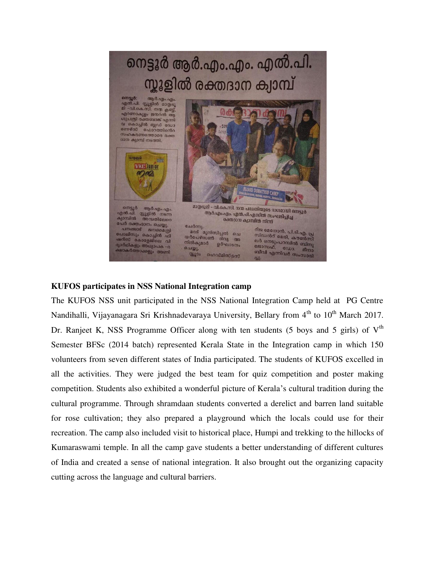

## **KUFOS participates in NSS National Integration camp**

The KUFOS NSS unit participated in the NSS National Integration Camp held at PG Centre Nandihalli, Vijayanagara Sri Krishnadevaraya University, Bellary from 4<sup>th</sup> to 10<sup>th</sup> March 2017. Dr. Ranjeet K, NSS Programme Officer along with ten students (5 boys and 5 girls) of  $V<sup>th</sup>$ Semester BFSc (2014 batch) represented Kerala State in the Integration camp in which 150 volunteers from seven different states of India participated. The students of KUFOS excelled in all the activities. They were judged the best team for quiz competition and poster making competition. Students also exhibited a wonderful picture of Kerala's cultural tradition during the cultural programme. Through shramdaan students converted a derelict and barren land suitable for rose cultivation; they also prepared a playground which the locals could use for their recreation. The camp also included visit to historical place, Humpi and trekking to the hillocks of Kumaraswami temple. In all the camp gave students a better understanding of different cultures of India and created a sense of national integration. It also brought out the organizing capacity cutting across the language and cultural barriers.